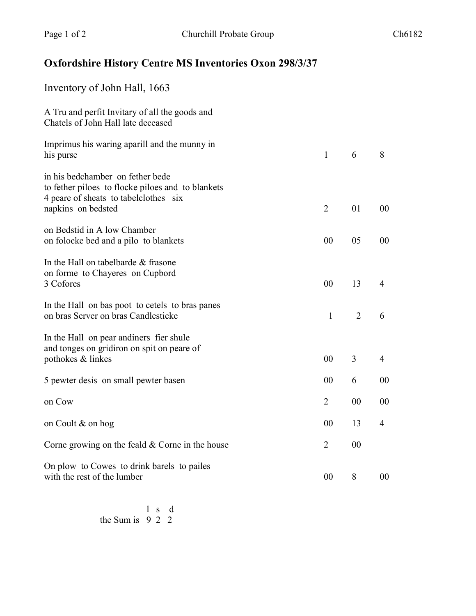## **Oxfordshire History Centre MS Inventories Oxon 298/3/37**

| Inventory of John Hall, 1663                                                                                                                         |                |                |                |
|------------------------------------------------------------------------------------------------------------------------------------------------------|----------------|----------------|----------------|
| A Tru and perfit Invitary of all the goods and<br>Chatels of John Hall late deceased                                                                 |                |                |                |
| Imprimus his waring aparill and the munny in<br>his purse                                                                                            | $\mathbf{1}$   | 6              | 8              |
| in his bedchamber on fether bede<br>to fether piloes to flocke piloes and to blankets<br>4 peare of sheats to tabelclothes six<br>napkins on bedsted | $\overline{2}$ | 01             | 00             |
| on Bedstid in A low Chamber<br>on folocke bed and a pilo to blankets                                                                                 | 00             | 05             | 00             |
| In the Hall on tabelbarde & frasone<br>on forme to Chayeres on Cupbord<br>3 Cofores                                                                  | 00             | 13             | $\overline{4}$ |
| In the Hall on bas poot to cetels to bras panes<br>on bras Server on bras Candlesticke                                                               | $\mathbf{1}$   | $\overline{2}$ | 6              |
| In the Hall on pear andiners fier shule<br>and tonges on gridiron on spit on peare of<br>pothokes & linkes                                           | 00             | 3              | $\overline{4}$ |
| 5 pewter desis on small pewter basen                                                                                                                 | 00             | 6              | 00             |
| on Cow                                                                                                                                               | $\overline{2}$ | 00             | 00             |
| on Coult & on hog                                                                                                                                    | 00             | 13             | 4              |
| Corne growing on the feald $&$ Corne in the house                                                                                                    | $\overline{2}$ | 00             |                |
| On plow to Cowes to drink barels to pailes<br>with the rest of the lumber                                                                            | 00             | 8              | 00             |

 l s d the Sum is 9 2 2